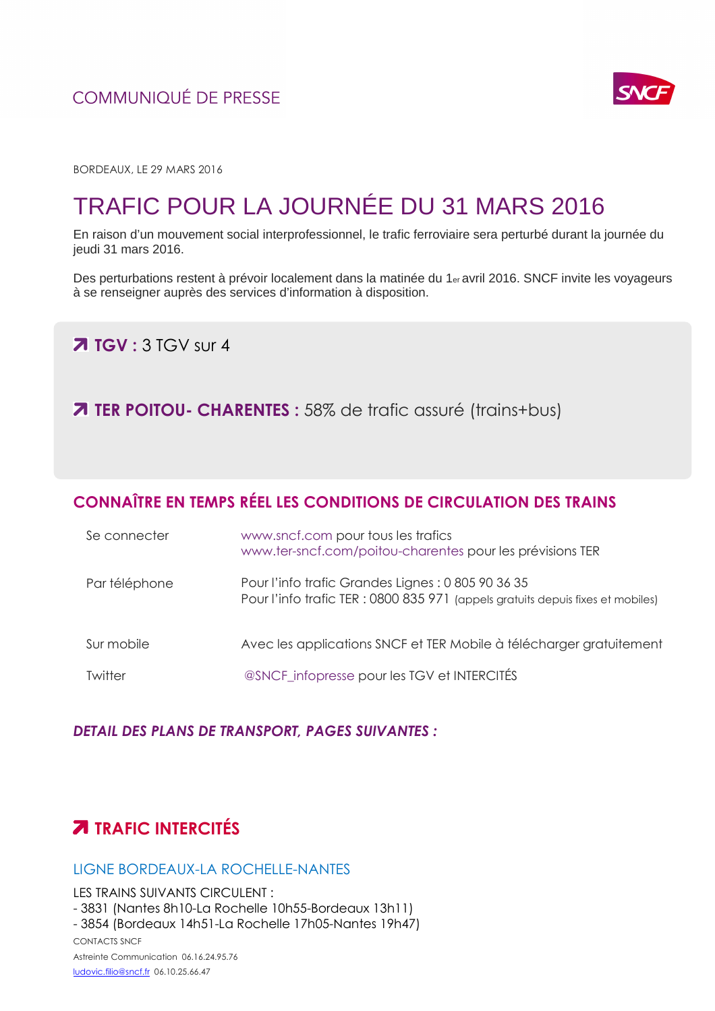### **COMMUNIOUÉ DE PRESSE**



BORDEAUX, LE 29 MARS 2016

# TRAFIC POUR LA JOURNÉE DU 31 MARS 2016

En raison d'un mouvement social interprofessionnel, le trafic ferroviaire sera perturbé durant la journée du jeudi 31 mars 2016.

Des perturbations restent à prévoir localement dans la matinée du 1er avril 2016. SNCF invite les voyageurs à se renseigner auprès des services d'information à disposition.

**TGV** : 3 TGV sur 4

**7 TER POITOU- CHARENTES :** 58% de trafic assuré (trains+bus)

## **CONNAÎTRE EN TEMPS RÉEL LES CONDITIONS DE CIRCULATION DES TRAINS**

| Se connecter  | www.sncf.com pour tous les trafics<br>www.ter-sncf.com/poitou-charentes pour les prévisions TER                                       |
|---------------|---------------------------------------------------------------------------------------------------------------------------------------|
| Par téléphone | Pour l'info trafic Grandes Lignes : 0 805 90 36 35<br>Pour l'info trafic TER : 0800 835 971 (appels gratuits depuis fixes et mobiles) |
| Sur mobile    | Avec les applications SNCF et TER Mobile à télécharger gratuitement                                                                   |
| Twitter       | @SNCF_infopresse pour les TGV et INTERCITÉS                                                                                           |

#### *DETAIL DES PLANS DE TRANSPORT, PAGES SUIVANTES :*

# **TRAFIC INTERCITÉS**

#### LIGNE BORDEAUX-LA ROCHELLE-NANTES

LES TRAINS SUIVANTS CIRCULENT : - 3831 (Nantes 8h10-La Rochelle 10h55-Bordeaux 13h11) - 3854 (Bordeaux 14h51-La Rochelle 17h05-Nantes 19h47)

CONTACTS SNCF Astreinte Communication 06.16.24.95.76 ludovic.filio@sncf.fr 06.10.25.66.47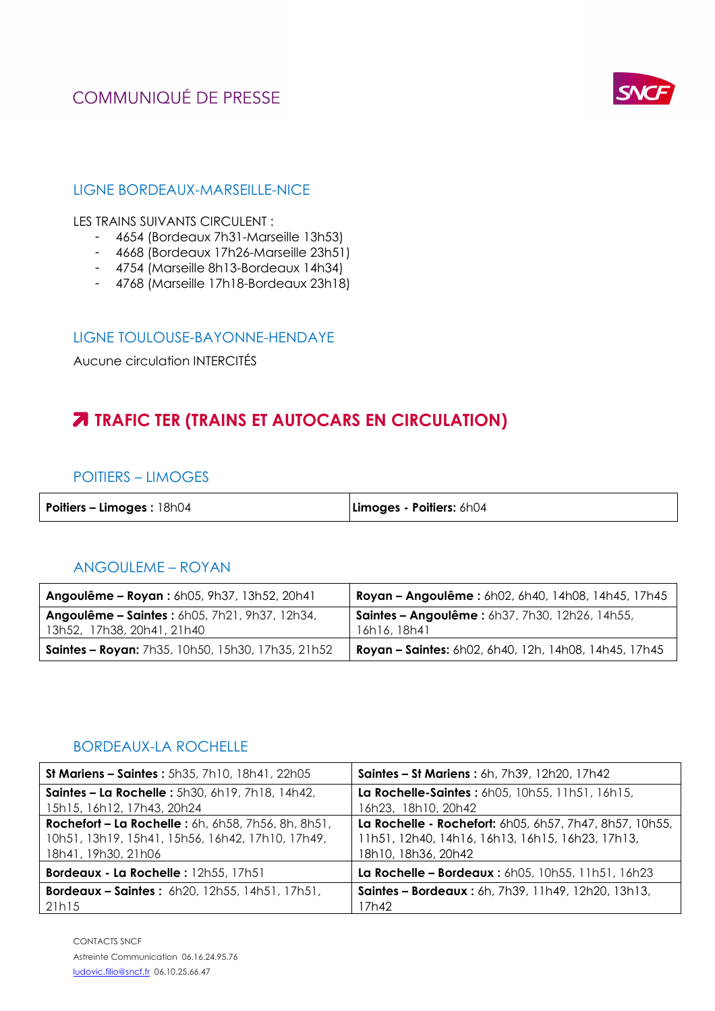# **COMMUNIQUÉ DE PRESSE**



#### LIGNE BORDEAUX-MARSEILLE-NICE

LES TRAINS SUIVANTS CIRCULENT :

- 4654 (Bordeaux 7h31-Marseille 13h53)
- 4668 (Bordeaux 17h26-Marseille 23h51)
- 4754 (Marseille 8h13-Bordeaux 14h34)
- 4768 (Marseille 17h18-Bordeaux 23h18)

#### LIGNE TOULOUSE-BAYONNE-HENDAYE

Aucune circulation INTERCITÉS

## **TRAFIC TER (TRAINS ET AUTOCARS EN CIRCULATION)**

#### POITIERS – LIMOGES

| Limoges - Poitiers: 6h04 |
|--------------------------|
|                          |

### ANGOULEME – ROYAN

| <b>Angoulême - Royan:</b> 6h05, 9h37, 13h52, 20h41                          | Royan - Angoulême : 6h02, 6h40, 14h08, 14h45, 17h45                   |
|-----------------------------------------------------------------------------|-----------------------------------------------------------------------|
| Angoulême - Saintes: 6h05, 7h21, 9h37, 12h34,<br>13h52, 17h38, 20h41, 21h40 | <b>Saintes - Angoulême:</b> 6h37, 7h30, 12h26, 14h55,<br>16h16, 18h41 |
| Saintes - Royan: 7h35, 10h50, 15h30, 17h35, 21h52                           | <b>Royan - Saintes:</b> 6h02, 6h40, 12h, 14h08, 14h45, 17h45          |

#### BORDEAUX-LA ROCHELLE

| St Mariens - Saintes: 5h35, 7h10, 18h41, 22h05            | <b>Saintes - St Mariens: 6h, 7h39, 12h20, 17h42</b>     |
|-----------------------------------------------------------|---------------------------------------------------------|
| Saintes - La Rochelle : 5h30, 6h19, 7h18, 14h42,          | La Rochelle-Saintes: 6h05, 10h55, 11h51, 16h15,         |
| 15h15, 16h12, 17h43, 20h24                                | 16h23, 18h10, 20h42                                     |
| <b>Rochefort - La Rochelle:</b> 6h, 6h58, 7h56, 8h, 8h51, | La Rochelle - Rochefort: 6h05, 6h57, 7h47, 8h57, 10h55, |
| 10h51, 13h19, 15h41, 15h56, 16h42, 17h10, 17h49,          | 11h51, 12h40, 14h16, 16h13, 16h15, 16h23, 17h13,        |
| 18h41, 19h30, 21h06                                       | 18h10, 18h36, 20h42                                     |
| Bordeaux - La Rochelle : 12h55, 17h51                     | La Rochelle - Bordeaux : 6h05, 10h55, 11h51, 16h23      |
| <b>Bordeaux - Saintes:</b> $6h20, 12h55, 14h51, 17h51,$   | Saintes - Bordeaux: 6h, 7h39, 11h49, 12h20, 13h13,      |
| 21h15                                                     | 17h42                                                   |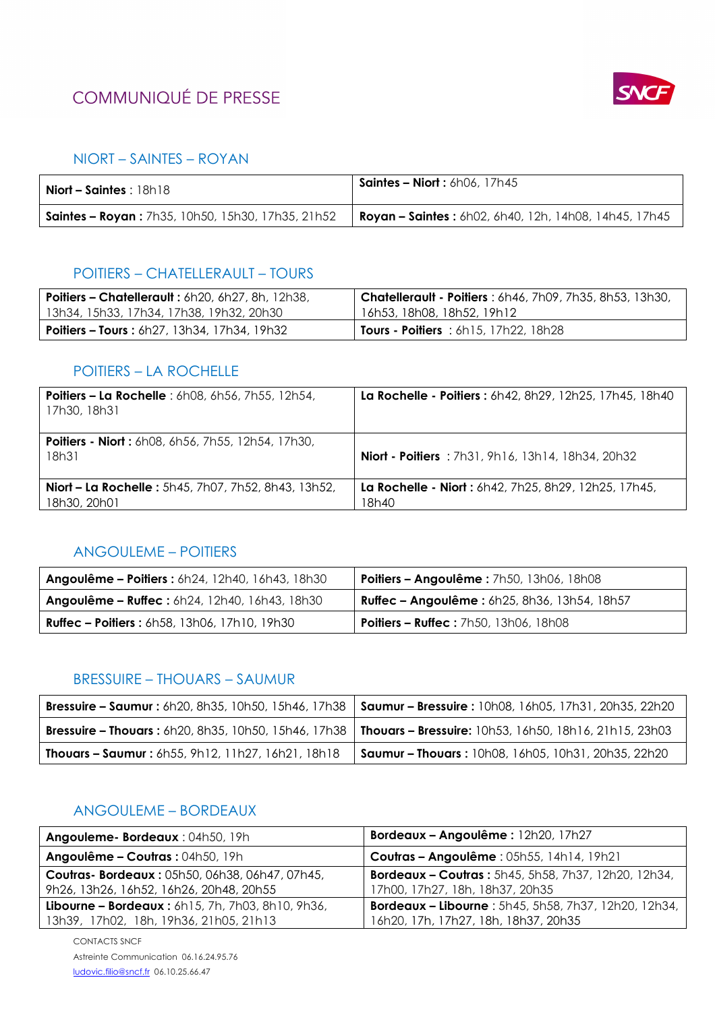# **COMMUNIQUÉ DE PRESSE**



#### NIORT – SAINTES – ROYAN

| <b>Niort – Saintes</b> : $18h18$                         | <b>Saintes - Niort:</b> $6h06, 17h45$                         |
|----------------------------------------------------------|---------------------------------------------------------------|
| <b>Saintes - Royan:</b> 7h35, 10h50, 15h30, 17h35, 21h52 | <b>Royan – Saintes :</b> 6h02, 6h40, 12h, 14h08, 14h45, 17h45 |

#### POITIERS – CHATELLERAULT – TOURS

| <b>Poitiers - Chatellerault: 6h20, 6h27, 8h, 12h38,</b> | <b>Chatellerault - Poitiers</b> : 6h46, 7h09, 7h35, 8h53, 13h30, |
|---------------------------------------------------------|------------------------------------------------------------------|
| 13h34, 15h33, 17h34, 17h38, 19h32, 20h30                | 16h53, 18h08, 18h52, 19h12                                       |
| <b>Poitiers – Tours:</b> $6h27, 13h34, 17h34, 19h32$    | <b>Tours - Poitiers</b> : $6h15$ , $17h22$ , $18h28$             |

### POITIERS – LA ROCHELLE

| <b>Poitiers - La Rochelle</b> : 6h08, 6h56, 7h55, 12h54,<br>17h30, 18h31   | La Rochelle - Poitiers : 6h42, 8h29, 12h25, 17h45, 18h40      |
|----------------------------------------------------------------------------|---------------------------------------------------------------|
| <b>Poitiers - Niort:</b> 6h08, 6h56, 7h55, 12h54, 17h30,<br>18h31          | <b>Niort - Poitiers</b> : 7h31, 9h16, 13h14, 18h34, 20h32     |
| <b>Niort - La Rochelle:</b> 5h45, 7h07, 7h52, 8h43, 13h52,<br>18h30, 20h01 | La Rochelle - Niort: 6h42, 7h25, 8h29, 12h25, 17h45,<br>18h40 |

### ANGOULEME – POITIERS

| <b>Angoulême - Poitiers: 6h24, 12h40, 16h43, 18h30</b> | <b>Poitiers – Angoulême :</b> 7h50, 13h06, 18h08 |
|--------------------------------------------------------|--------------------------------------------------|
| <b>Angoulême - Ruffec :</b> 6h24, 12h40, 16h43, 18h30  | Ruffec - Angoulême : 6h25, 8h36, 13h54, 18h57    |
| <b>Ruffec - Poitiers:</b> 6h58, 13h06, 17h10, 19h30    | <b>Poitiers - Ruffec : 7h50, 13h06, 18h08</b>    |

### BRESSUIRE – THOUARS – SAUMUR

|                                                          | Bressuire - Saumur: 6h20, 8h35, 10h50, 15h46, 17h38   Saumur - Bressuire: 10h08, 16h05, 17h31, 20h35, 22h20    |
|----------------------------------------------------------|----------------------------------------------------------------------------------------------------------------|
|                                                          | Bressuire - Thouars : 6h20, 8h35, 10h50, 15h46, 17h38   Thouars - Bressuire: 10h53, 16h50, 18h16, 21h15, 23h03 |
| <b>Thouars - Saumur:</b> 6h55, 9h12, 11h27, 16h21, 18h18 | <b>  Saumur – Thouars :</b> 10h08, 16h05, 10h31, 20h35, 22h20                                                  |

### ANGOULEME – BORDEAUX

| Angouleme- Bordeaux: 04h50, 19h                                        | Bordeaux - Angoulême : 12h20, 17h27                         |
|------------------------------------------------------------------------|-------------------------------------------------------------|
| Angoulême - Coutras : 04h50, 19h                                       | Coutras - Angoulême : 05h55, 14h14, 19h21                   |
| Coutras- Bordeaux: 05h50, 06h38, 06h47, 07h45,                         | <b>Bordeaux - Coutras: 5h45, 5h58, 7h37, 12h20, 12h34,</b>  |
| 9h26, 13h26, 16h52, 16h26, 20h48, 20h55                                | 17h00, 17h27, 18h, 18h37, 20h35                             |
| <b>Libourne - Bordeaux:</b> $6h15$ , $7h$ , $7h03$ , $8h10$ , $9h36$ , | <b>Bordeaux - Libourne: 5h45, 5h58, 7h37, 12h20, 12h34,</b> |
| 13h39, 17h02, 18h, 19h36, 21h05, 21h13                                 | 16h20, 17h, 17h27, 18h, 18h37, 20h35                        |